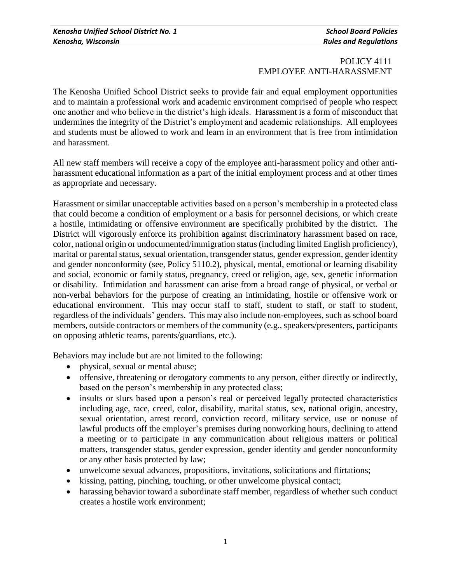## POLICY 4111 EMPLOYEE ANTI-HARASSMENT

The Kenosha Unified School District seeks to provide fair and equal employment opportunities and to maintain a professional work and academic environment comprised of people who respect one another and who believe in the district's high ideals. Harassment is a form of misconduct that undermines the integrity of the District's employment and academic relationships. All employees and students must be allowed to work and learn in an environment that is free from intimidation and harassment.

All new staff members will receive a copy of the employee anti-harassment policy and other antiharassment educational information as a part of the initial employment process and at other times as appropriate and necessary.

Harassment or similar unacceptable activities based on a person's membership in a protected class that could become a condition of employment or a basis for personnel decisions, or which create a hostile, intimidating or offensive environment are specifically prohibited by the district. The District will vigorously enforce its prohibition against discriminatory harassment based on race, color, national origin or undocumented/immigration status (including limited English proficiency), marital or parental status, sexual orientation, transgender status, gender expression, gender identity and gender nonconformity (see, Policy 5110.2), physical, mental, emotional or learning disability and social, economic or family status, pregnancy, creed or religion, age, sex, genetic information or disability. Intimidation and harassment can arise from a broad range of physical, or verbal or non-verbal behaviors for the purpose of creating an intimidating, hostile or offensive work or educational environment. This may occur staff to staff, student to staff, or staff to student, regardless of the individuals' genders. This may also include non-employees, such as school board members, outside contractors or members of the community (e.g., speakers/presenters, participants on opposing athletic teams, parents/guardians, etc.).

Behaviors may include but are not limited to the following:

- physical, sexual or mental abuse;
- offensive, threatening or derogatory comments to any person, either directly or indirectly, based on the person's membership in any protected class;
- insults or slurs based upon a person's real or perceived legally protected characteristics including age, race, creed, color, disability, marital status, sex, national origin, ancestry, sexual orientation, arrest record, conviction record, military service, use or nonuse of lawful products off the employer's premises during nonworking hours, declining to attend a meeting or to participate in any communication about religious matters or political matters, transgender status, gender expression, gender identity and gender nonconformity or any other basis protected by law;
- unwelcome sexual advances, propositions, invitations, solicitations and flirtations;
- kissing, patting, pinching, touching, or other unwelcome physical contact;
- harassing behavior toward a subordinate staff member, regardless of whether such conduct creates a hostile work environment;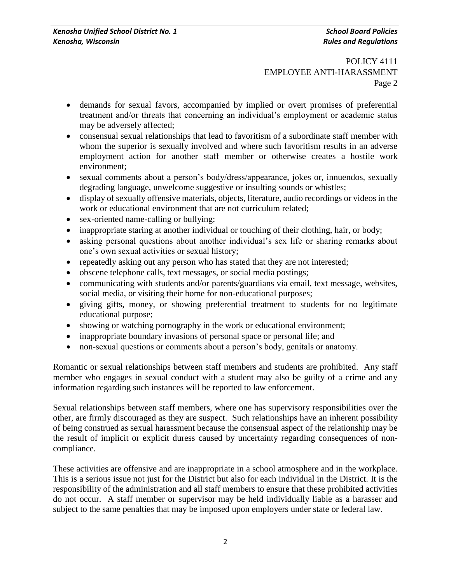# POLICY 4111 EMPLOYEE ANTI-HARASSMENT Page 2

- demands for sexual favors, accompanied by implied or overt promises of preferential treatment and/or threats that concerning an individual's employment or academic status may be adversely affected;
- consensual sexual relationships that lead to favoritism of a subordinate staff member with whom the superior is sexually involved and where such favoritism results in an adverse employment action for another staff member or otherwise creates a hostile work environment;
- sexual comments about a person's body/dress/appearance, jokes or, innuendos, sexually degrading language, unwelcome suggestive or insulting sounds or whistles;
- display of sexually offensive materials, objects, literature, audio recordings or videos in the work or educational environment that are not curriculum related;
- sex-oriented name-calling or bullying;
- inappropriate staring at another individual or touching of their clothing, hair, or body;
- asking personal questions about another individual's sex life or sharing remarks about one's own sexual activities or sexual history;
- repeatedly asking out any person who has stated that they are not interested;
- obscene telephone calls, text messages, or social media postings;
- communicating with students and/or parents/guardians via email, text message, websites, social media, or visiting their home for non-educational purposes;
- giving gifts, money, or showing preferential treatment to students for no legitimate educational purpose;
- showing or watching pornography in the work or educational environment;
- inappropriate boundary invasions of personal space or personal life; and
- non-sexual questions or comments about a person's body, genitals or anatomy.

Romantic or sexual relationships between staff members and students are prohibited. Any staff member who engages in sexual conduct with a student may also be guilty of a crime and any information regarding such instances will be reported to law enforcement.

Sexual relationships between staff members, where one has supervisory responsibilities over the other, are firmly discouraged as they are suspect. Such relationships have an inherent possibility of being construed as sexual harassment because the consensual aspect of the relationship may be the result of implicit or explicit duress caused by uncertainty regarding consequences of noncompliance.

These activities are offensive and are inappropriate in a school atmosphere and in the workplace. This is a serious issue not just for the District but also for each individual in the District. It is the responsibility of the administration and all staff members to ensure that these prohibited activities do not occur. A staff member or supervisor may be held individually liable as a harasser and subject to the same penalties that may be imposed upon employers under state or federal law.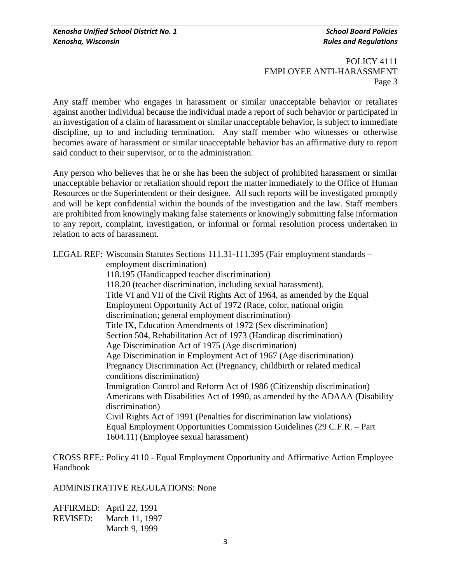POLICY 4111 EMPLOYEE ANTI-HARASSMENT Page 3

Any staff member who engages in harassment or similar unacceptable behavior or retaliates against another individual because the individual made a report of such behavior or participated in an investigation of a claim of harassment or similar unacceptable behavior, is subject to immediate discipline, up to and including termination. Any staff member who witnesses or otherwise becomes aware of harassment or similar unacceptable behavior has an affirmative duty to report said conduct to their supervisor, or to the administration.

Any person who believes that he or she has been the subject of prohibited harassment or similar unacceptable behavior or retaliation should report the matter immediately to the Office of Human Resources or the Superintendent or their designee. All such reports will be investigated promptly and will be kept confidential within the bounds of the investigation and the law. Staff members are prohibited from knowingly making false statements or knowingly submitting false information to any report, complaint, investigation, or informal or formal resolution process undertaken in relation to acts of harassment.

LEGAL REF: Wisconsin Statutes Sections 111.31-111.395 (Fair employment standards –

employment discrimination)

118.195 (Handicapped teacher discrimination)

118.20 (teacher discrimination, including sexual harassment). Title VI and VII of the Civil Rights Act of 1964, as amended by the Equal Employment Opportunity Act of 1972 (Race, color, national origin discrimination; general employment discrimination) Title IX, Education Amendments of 1972 (Sex discrimination) Section 504, Rehabilitation Act of 1973 (Handicap discrimination) Age Discrimination Act of 1975 (Age discrimination) Age Discrimination in Employment Act of 1967 (Age discrimination) Pregnancy Discrimination Act (Pregnancy, childbirth or related medical conditions discrimination) Immigration Control and Reform Act of 1986 (Citizenship discrimination) Americans with Disabilities Act of 1990, as amended by the ADAAA (Disability discrimination) Civil Rights Act of 1991 (Penalties for discrimination law violations) Equal Employment Opportunities Commission Guidelines (29 C.F.R. – Part 1604.11) (Employee sexual harassment)

CROSS REF.: Policy 4110 - Equal Employment Opportunity and Affirmative Action Employee Handbook

ADMINISTRATIVE REGULATIONS: None

AFFIRMED: April 22, 1991 REVISED: March 11, 1997 March 9, 1999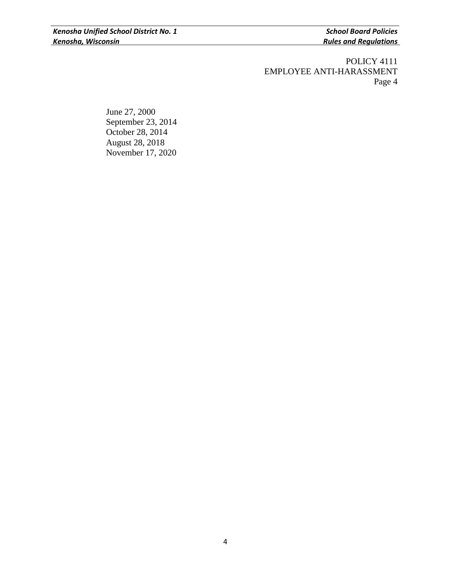POLICY 4111 EMPLOYEE ANTI-HARASSMENT Page 4

June 27, 2000 September 23, 2014 October 28, 2014 August 28, 2018 November 17, 2020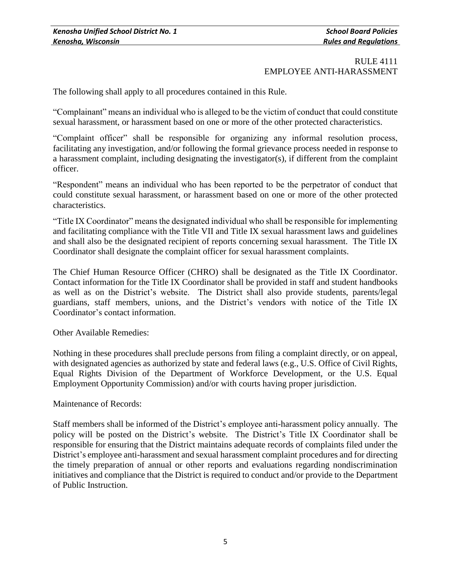The following shall apply to all procedures contained in this Rule.

"Complainant" means an individual who is alleged to be the victim of conduct that could constitute sexual harassment, or harassment based on one or more of the other protected characteristics.

"Complaint officer" shall be responsible for organizing any informal resolution process, facilitating any investigation, and/or following the formal grievance process needed in response to a harassment complaint, including designating the investigator(s), if different from the complaint officer.

"Respondent" means an individual who has been reported to be the perpetrator of conduct that could constitute sexual harassment, or harassment based on one or more of the other protected characteristics.

"Title IX Coordinator" means the designated individual who shall be responsible for implementing and facilitating compliance with the Title VII and Title IX sexual harassment laws and guidelines and shall also be the designated recipient of reports concerning sexual harassment. The Title IX Coordinator shall designate the complaint officer for sexual harassment complaints.

The Chief Human Resource Officer (CHRO) shall be designated as the Title IX Coordinator. Contact information for the Title IX Coordinator shall be provided in staff and student handbooks as well as on the District's website. The District shall also provide students, parents/legal guardians, staff members, unions, and the District's vendors with notice of the Title IX Coordinator's contact information.

Other Available Remedies:

Nothing in these procedures shall preclude persons from filing a complaint directly, or on appeal, with designated agencies as authorized by state and federal laws (e.g., U.S. Office of Civil Rights, Equal Rights Division of the Department of Workforce Development, or the U.S. Equal Employment Opportunity Commission) and/or with courts having proper jurisdiction.

### Maintenance of Records:

Staff members shall be informed of the District's employee anti-harassment policy annually. The policy will be posted on the District's website. The District's Title IX Coordinator shall be responsible for ensuring that the District maintains adequate records of complaints filed under the District's employee anti-harassment and sexual harassment complaint procedures and for directing the timely preparation of annual or other reports and evaluations regarding nondiscrimination initiatives and compliance that the District is required to conduct and/or provide to the Department of Public Instruction.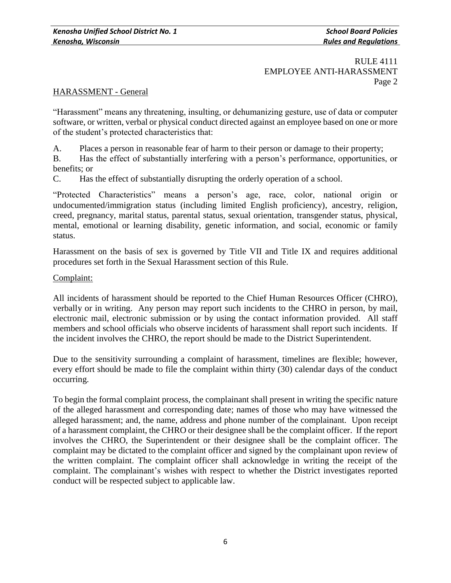### HARASSMENT - General

"Harassment" means any threatening, insulting, or dehumanizing gesture, use of data or computer software, or written, verbal or physical conduct directed against an employee based on one or more of the student's protected characteristics that:

A. Places a person in reasonable fear of harm to their person or damage to their property;

B. Has the effect of substantially interfering with a person's performance, opportunities, or benefits; or

C. Has the effect of substantially disrupting the orderly operation of a school.

"Protected Characteristics" means a person's age, race, color, national origin or undocumented/immigration status (including limited English proficiency), ancestry, religion, creed, pregnancy, marital status, parental status, sexual orientation, transgender status, physical, mental, emotional or learning disability, genetic information, and social, economic or family status.

Harassment on the basis of sex is governed by Title VII and Title IX and requires additional procedures set forth in the Sexual Harassment section of this Rule.

### Complaint:

All incidents of harassment should be reported to the Chief Human Resources Officer (CHRO), verbally or in writing. Any person may report such incidents to the CHRO in person, by mail, electronic mail, electronic submission or by using the contact information provided. All staff members and school officials who observe incidents of harassment shall report such incidents. If the incident involves the CHRO, the report should be made to the District Superintendent.

Due to the sensitivity surrounding a complaint of harassment, timelines are flexible; however, every effort should be made to file the complaint within thirty (30) calendar days of the conduct occurring.

To begin the formal complaint process, the complainant shall present in writing the specific nature of the alleged harassment and corresponding date; names of those who may have witnessed the alleged harassment; and, the name, address and phone number of the complainant. Upon receipt of a harassment complaint, the CHRO or their designee shall be the complaint officer. If the report involves the CHRO, the Superintendent or their designee shall be the complaint officer. The complaint may be dictated to the complaint officer and signed by the complainant upon review of the written complaint. The complaint officer shall acknowledge in writing the receipt of the complaint. The complainant's wishes with respect to whether the District investigates reported conduct will be respected subject to applicable law.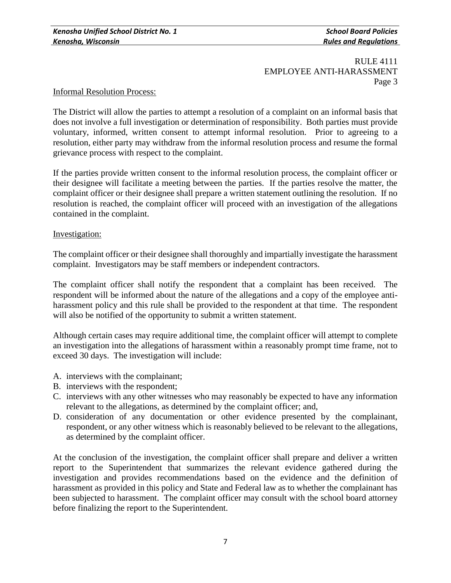#### Informal Resolution Process:

The District will allow the parties to attempt a resolution of a complaint on an informal basis that does not involve a full investigation or determination of responsibility. Both parties must provide voluntary, informed, written consent to attempt informal resolution. Prior to agreeing to a resolution, either party may withdraw from the informal resolution process and resume the formal grievance process with respect to the complaint.

If the parties provide written consent to the informal resolution process, the complaint officer or their designee will facilitate a meeting between the parties. If the parties resolve the matter, the complaint officer or their designee shall prepare a written statement outlining the resolution. If no resolution is reached, the complaint officer will proceed with an investigation of the allegations contained in the complaint.

#### Investigation:

The complaint officer or their designee shall thoroughly and impartially investigate the harassment complaint. Investigators may be staff members or independent contractors.

The complaint officer shall notify the respondent that a complaint has been received. The respondent will be informed about the nature of the allegations and a copy of the employee antiharassment policy and this rule shall be provided to the respondent at that time. The respondent will also be notified of the opportunity to submit a written statement.

Although certain cases may require additional time, the complaint officer will attempt to complete an investigation into the allegations of harassment within a reasonably prompt time frame, not to exceed 30 days. The investigation will include:

- A. interviews with the complainant;
- B. interviews with the respondent;
- C. interviews with any other witnesses who may reasonably be expected to have any information relevant to the allegations, as determined by the complaint officer; and,
- D. consideration of any documentation or other evidence presented by the complainant, respondent, or any other witness which is reasonably believed to be relevant to the allegations, as determined by the complaint officer.

At the conclusion of the investigation, the complaint officer shall prepare and deliver a written report to the Superintendent that summarizes the relevant evidence gathered during the investigation and provides recommendations based on the evidence and the definition of harassment as provided in this policy and State and Federal law as to whether the complainant has been subjected to harassment. The complaint officer may consult with the school board attorney before finalizing the report to the Superintendent.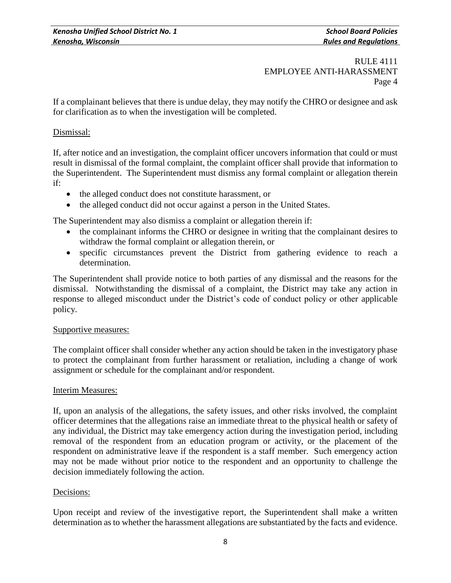If a complainant believes that there is undue delay, they may notify the CHRO or designee and ask for clarification as to when the investigation will be completed.

## Dismissal:

If, after notice and an investigation, the complaint officer uncovers information that could or must result in dismissal of the formal complaint, the complaint officer shall provide that information to the Superintendent. The Superintendent must dismiss any formal complaint or allegation therein if:

- the alleged conduct does not constitute harassment, or
- the alleged conduct did not occur against a person in the United States.

The Superintendent may also dismiss a complaint or allegation therein if:

- the complainant informs the CHRO or designee in writing that the complainant desires to withdraw the formal complaint or allegation therein, or
- specific circumstances prevent the District from gathering evidence to reach a determination.

The Superintendent shall provide notice to both parties of any dismissal and the reasons for the dismissal. Notwithstanding the dismissal of a complaint, the District may take any action in response to alleged misconduct under the District's code of conduct policy or other applicable policy.

### Supportive measures:

The complaint officer shall consider whether any action should be taken in the investigatory phase to protect the complainant from further harassment or retaliation, including a change of work assignment or schedule for the complainant and/or respondent.

### Interim Measures:

If, upon an analysis of the allegations, the safety issues, and other risks involved, the complaint officer determines that the allegations raise an immediate threat to the physical health or safety of any individual, the District may take emergency action during the investigation period, including removal of the respondent from an education program or activity, or the placement of the respondent on administrative leave if the respondent is a staff member. Such emergency action may not be made without prior notice to the respondent and an opportunity to challenge the decision immediately following the action.

### Decisions:

Upon receipt and review of the investigative report, the Superintendent shall make a written determination as to whether the harassment allegations are substantiated by the facts and evidence.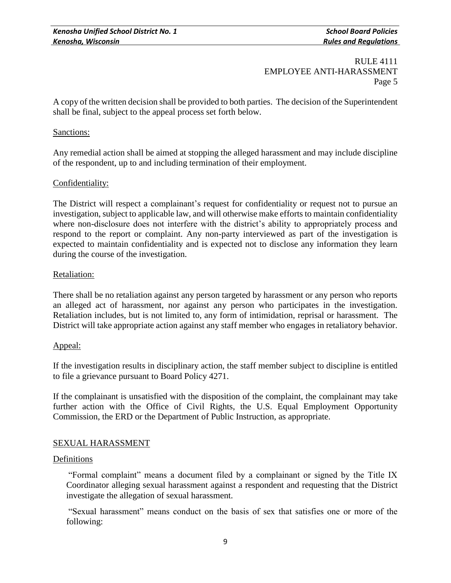A copy of the written decision shall be provided to both parties. The decision of the Superintendent shall be final, subject to the appeal process set forth below.

### Sanctions:

Any remedial action shall be aimed at stopping the alleged harassment and may include discipline of the respondent, up to and including termination of their employment.

## Confidentiality:

The District will respect a complainant's request for confidentiality or request not to pursue an investigation, subject to applicable law, and will otherwise make efforts to maintain confidentiality where non-disclosure does not interfere with the district's ability to appropriately process and respond to the report or complaint. Any non-party interviewed as part of the investigation is expected to maintain confidentiality and is expected not to disclose any information they learn during the course of the investigation.

### Retaliation:

There shall be no retaliation against any person targeted by harassment or any person who reports an alleged act of harassment, nor against any person who participates in the investigation. Retaliation includes, but is not limited to, any form of intimidation, reprisal or harassment. The District will take appropriate action against any staff member who engages in retaliatory behavior.

### Appeal:

If the investigation results in disciplinary action, the staff member subject to discipline is entitled to file a grievance pursuant to Board Policy 4271.

If the complainant is unsatisfied with the disposition of the complaint, the complainant may take further action with the Office of Civil Rights, the U.S. Equal Employment Opportunity Commission, the ERD or the Department of Public Instruction, as appropriate.

## SEXUAL HARASSMENT

### Definitions

"Formal complaint" means a document filed by a complainant or signed by the Title IX Coordinator alleging sexual harassment against a respondent and requesting that the District investigate the allegation of sexual harassment.

"Sexual harassment" means conduct on the basis of sex that satisfies one or more of the following: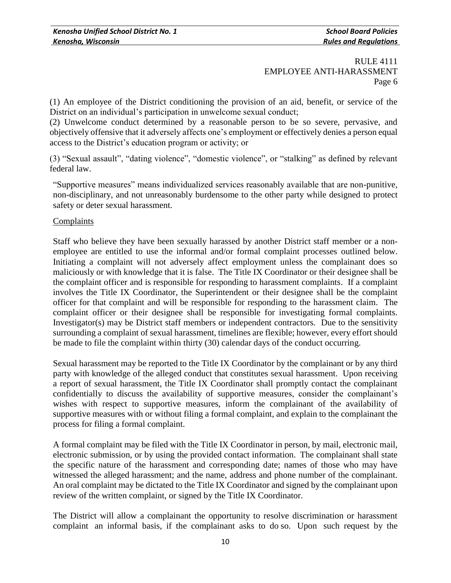(1) An employee of the District conditioning the provision of an aid, benefit, or service of the District on an individual's participation in unwelcome sexual conduct;

(2) Unwelcome conduct determined by a reasonable person to be so severe, pervasive, and objectively offensive that it adversely affects one's employment or effectively denies a person equal access to the District's education program or activity; or

(3) "Sexual assault", "dating violence", "domestic violence", or "stalking" as defined by relevant federal law.

"Supportive measures" means individualized services reasonably available that are non-punitive, non-disciplinary, and not unreasonably burdensome to the other party while designed to protect safety or deter sexual harassment.

### **Complaints**

Staff who believe they have been sexually harassed by another District staff member or a nonemployee are entitled to use the informal and/or formal complaint processes outlined below. Initiating a complaint will not adversely affect employment unless the complainant does so maliciously or with knowledge that it is false. The Title IX Coordinator or their designee shall be the complaint officer and is responsible for responding to harassment complaints. If a complaint involves the Title IX Coordinator, the Superintendent or their designee shall be the complaint officer for that complaint and will be responsible for responding to the harassment claim. The complaint officer or their designee shall be responsible for investigating formal complaints. Investigator(s) may be District staff members or independent contractors. Due to the sensitivity surrounding a complaint of sexual harassment, timelines are flexible; however, every effort should be made to file the complaint within thirty (30) calendar days of the conduct occurring.

Sexual harassment may be reported to the Title IX Coordinator by the complainant or by any third party with knowledge of the alleged conduct that constitutes sexual harassment. Upon receiving a report of sexual harassment, the Title IX Coordinator shall promptly contact the complainant confidentially to discuss the availability of supportive measures, consider the complainant's wishes with respect to supportive measures, inform the complainant of the availability of supportive measures with or without filing a formal complaint, and explain to the complainant the process for filing a formal complaint.

A formal complaint may be filed with the Title IX Coordinator in person, by mail, electronic mail, electronic submission, or by using the provided contact information. The complainant shall state the specific nature of the harassment and corresponding date; names of those who may have witnessed the alleged harassment; and the name, address and phone number of the complainant. An oral complaint may be dictated to the Title IX Coordinator and signed by the complainant upon review of the written complaint, or signed by the Title IX Coordinator.

The District will allow a complainant the opportunity to resolve discrimination or harassment complaint an informal basis, if the complainant asks to do so. Upon such request by the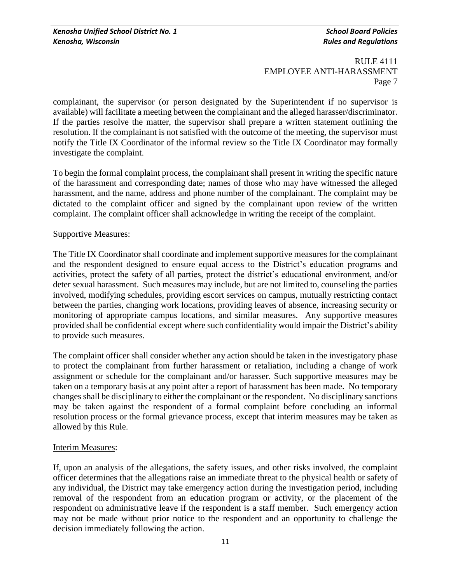complainant, the supervisor (or person designated by the Superintendent if no supervisor is available) will facilitate a meeting between the complainant and the alleged harasser/discriminator. If the parties resolve the matter, the supervisor shall prepare a written statement outlining the resolution. If the complainant is not satisfied with the outcome of the meeting, the supervisor must notify the Title IX Coordinator of the informal review so the Title IX Coordinator may formally investigate the complaint.

To begin the formal complaint process, the complainant shall present in writing the specific nature of the harassment and corresponding date; names of those who may have witnessed the alleged harassment, and the name, address and phone number of the complainant. The complaint may be dictated to the complaint officer and signed by the complainant upon review of the written complaint. The complaint officer shall acknowledge in writing the receipt of the complaint.

### Supportive Measures:

The Title IX Coordinator shall coordinate and implement supportive measures for the complainant and the respondent designed to ensure equal access to the District's education programs and activities, protect the safety of all parties, protect the district's educational environment, and/or deter sexual harassment. Such measures may include, but are not limited to, counseling the parties involved, modifying schedules, providing escort services on campus, mutually restricting contact between the parties, changing work locations, providing leaves of absence, increasing security or monitoring of appropriate campus locations, and similar measures. Any supportive measures provided shall be confidential except where such confidentiality would impair the District's ability to provide such measures.

The complaint officer shall consider whether any action should be taken in the investigatory phase to protect the complainant from further harassment or retaliation, including a change of work assignment or schedule for the complainant and/or harasser. Such supportive measures may be taken on a temporary basis at any point after a report of harassment has been made. No temporary changes shall be disciplinary to either the complainant or the respondent. No disciplinary sanctions may be taken against the respondent of a formal complaint before concluding an informal resolution process or the formal grievance process, except that interim measures may be taken as allowed by this Rule.

### Interim Measures:

If, upon an analysis of the allegations, the safety issues, and other risks involved, the complaint officer determines that the allegations raise an immediate threat to the physical health or safety of any individual, the District may take emergency action during the investigation period, including removal of the respondent from an education program or activity, or the placement of the respondent on administrative leave if the respondent is a staff member. Such emergency action may not be made without prior notice to the respondent and an opportunity to challenge the decision immediately following the action.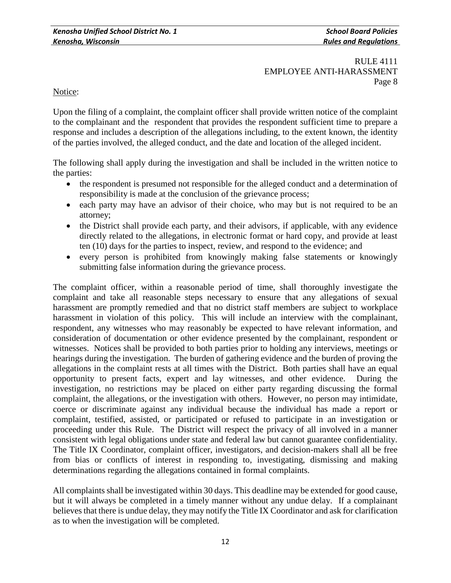Notice:

Upon the filing of a complaint, the complaint officer shall provide written notice of the complaint to the complainant and the respondent that provides the respondent sufficient time to prepare a response and includes a description of the allegations including, to the extent known, the identity of the parties involved, the alleged conduct, and the date and location of the alleged incident.

The following shall apply during the investigation and shall be included in the written notice to the parties:

- the respondent is presumed not responsible for the alleged conduct and a determination of responsibility is made at the conclusion of the grievance process;
- each party may have an advisor of their choice, who may but is not required to be an attorney;
- the District shall provide each party, and their advisors, if applicable, with any evidence directly related to the allegations, in electronic format or hard copy, and provide at least ten (10) days for the parties to inspect, review, and respond to the evidence; and
- every person is prohibited from knowingly making false statements or knowingly submitting false information during the grievance process.

The complaint officer, within a reasonable period of time, shall thoroughly investigate the complaint and take all reasonable steps necessary to ensure that any allegations of sexual harassment are promptly remedied and that no district staff members are subject to workplace harassment in violation of this policy. This will include an interview with the complainant, respondent, any witnesses who may reasonably be expected to have relevant information, and consideration of documentation or other evidence presented by the complainant, respondent or witnesses. Notices shall be provided to both parties prior to holding any interviews, meetings or hearings during the investigation. The burden of gathering evidence and the burden of proving the allegations in the complaint rests at all times with the District. Both parties shall have an equal opportunity to present facts, expert and lay witnesses, and other evidence. During the investigation, no restrictions may be placed on either party regarding discussing the formal complaint, the allegations, or the investigation with others. However, no person may intimidate, coerce or discriminate against any individual because the individual has made a report or complaint, testified, assisted, or participated or refused to participate in an investigation or proceeding under this Rule. The District will respect the privacy of all involved in a manner consistent with legal obligations under state and federal law but cannot guarantee confidentiality. The Title IX Coordinator, complaint officer, investigators, and decision-makers shall all be free from bias or conflicts of interest in responding to, investigating, dismissing and making determinations regarding the allegations contained in formal complaints.

All complaints shall be investigated within 30 days. This deadline may be extended for good cause, but it will always be completed in a timely manner without any undue delay. If a complainant believes that there is undue delay, they may notify the Title IX Coordinator and ask for clarification as to when the investigation will be completed.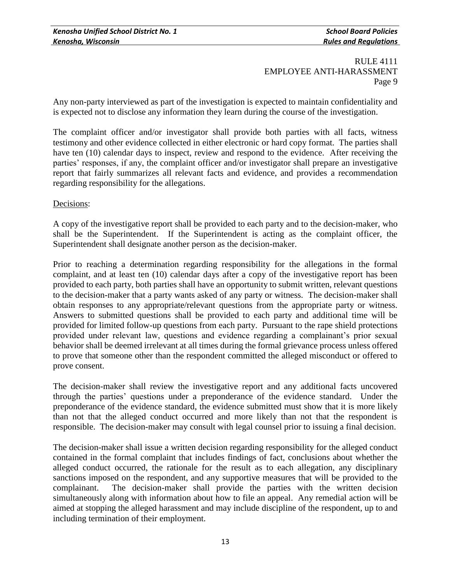Any non-party interviewed as part of the investigation is expected to maintain confidentiality and is expected not to disclose any information they learn during the course of the investigation.

The complaint officer and/or investigator shall provide both parties with all facts, witness testimony and other evidence collected in either electronic or hard copy format. The parties shall have ten (10) calendar days to inspect, review and respond to the evidence. After receiving the parties' responses, if any, the complaint officer and/or investigator shall prepare an investigative report that fairly summarizes all relevant facts and evidence, and provides a recommendation regarding responsibility for the allegations.

### Decisions:

A copy of the investigative report shall be provided to each party and to the decision-maker, who shall be the Superintendent. If the Superintendent is acting as the complaint officer, the Superintendent shall designate another person as the decision-maker.

Prior to reaching a determination regarding responsibility for the allegations in the formal complaint, and at least ten (10) calendar days after a copy of the investigative report has been provided to each party, both parties shall have an opportunity to submit written, relevant questions to the decision-maker that a party wants asked of any party or witness. The decision-maker shall obtain responses to any appropriate/relevant questions from the appropriate party or witness. Answers to submitted questions shall be provided to each party and additional time will be provided for limited follow-up questions from each party. Pursuant to the rape shield protections provided under relevant law, questions and evidence regarding a complainant's prior sexual behavior shall be deemed irrelevant at all times during the formal grievance process unless offered to prove that someone other than the respondent committed the alleged misconduct or offered to prove consent.

The decision-maker shall review the investigative report and any additional facts uncovered through the parties' questions under a preponderance of the evidence standard. Under the preponderance of the evidence standard, the evidence submitted must show that it is more likely than not that the alleged conduct occurred and more likely than not that the respondent is responsible. The decision-maker may consult with legal counsel prior to issuing a final decision.

The decision-maker shall issue a written decision regarding responsibility for the alleged conduct contained in the formal complaint that includes findings of fact, conclusions about whether the alleged conduct occurred, the rationale for the result as to each allegation, any disciplinary sanctions imposed on the respondent, and any supportive measures that will be provided to the complainant. The decision-maker shall provide the parties with the written decision simultaneously along with information about how to file an appeal. Any remedial action will be aimed at stopping the alleged harassment and may include discipline of the respondent, up to and including termination of their employment.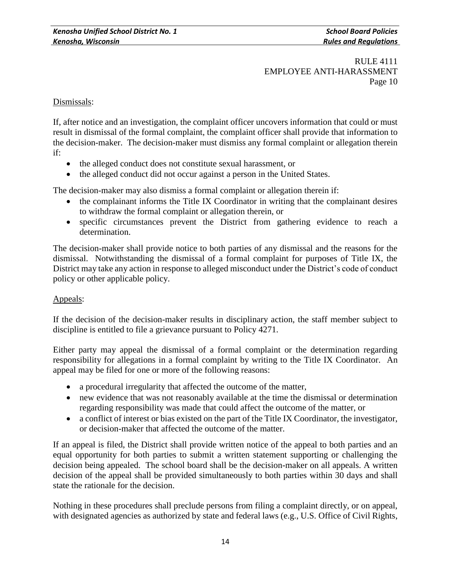## Dismissals:

If, after notice and an investigation, the complaint officer uncovers information that could or must result in dismissal of the formal complaint, the complaint officer shall provide that information to the decision-maker. The decision-maker must dismiss any formal complaint or allegation therein if:

- the alleged conduct does not constitute sexual harassment, or
- the alleged conduct did not occur against a person in the United States.

The decision-maker may also dismiss a formal complaint or allegation therein if:

- the complainant informs the Title IX Coordinator in writing that the complainant desires to withdraw the formal complaint or allegation therein, or
- specific circumstances prevent the District from gathering evidence to reach a determination.

The decision-maker shall provide notice to both parties of any dismissal and the reasons for the dismissal. Notwithstanding the dismissal of a formal complaint for purposes of Title IX, the District may take any action in response to alleged misconduct under the District's code of conduct policy or other applicable policy.

### Appeals:

If the decision of the decision-maker results in disciplinary action, the staff member subject to discipline is entitled to file a grievance pursuant to Policy 4271.

Either party may appeal the dismissal of a formal complaint or the determination regarding responsibility for allegations in a formal complaint by writing to the Title IX Coordinator. An appeal may be filed for one or more of the following reasons:

- a procedural irregularity that affected the outcome of the matter,
- new evidence that was not reasonably available at the time the dismissal or determination regarding responsibility was made that could affect the outcome of the matter, or
- a conflict of interest or bias existed on the part of the Title IX Coordinator, the investigator, or decision-maker that affected the outcome of the matter.

If an appeal is filed, the District shall provide written notice of the appeal to both parties and an equal opportunity for both parties to submit a written statement supporting or challenging the decision being appealed. The school board shall be the decision-maker on all appeals. A written decision of the appeal shall be provided simultaneously to both parties within 30 days and shall state the rationale for the decision.

Nothing in these procedures shall preclude persons from filing a complaint directly, or on appeal, with designated agencies as authorized by state and federal laws (e.g., U.S. Office of Civil Rights,